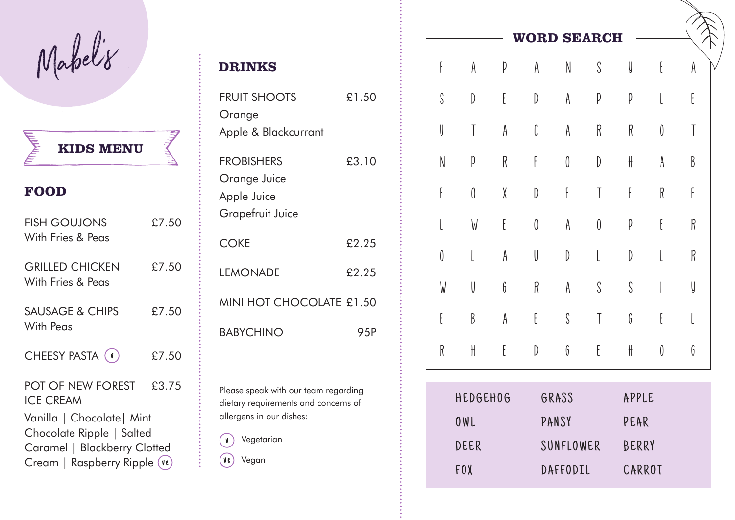Mabel'8

**MENU KIDS**

## **FOOD**

NE TRANSPORT

| <b>FISH GOUJONS</b><br>With Fries & Peas                                                                                 | £7.50 |  |  |  |
|--------------------------------------------------------------------------------------------------------------------------|-------|--|--|--|
| <b>GRILLED CHICKEN</b><br>With Fries & Peas                                                                              | £7.50 |  |  |  |
| <b>SAUSAGE &amp; CHIPS</b><br>With Peas                                                                                  | £7.50 |  |  |  |
| CHEESY PASTA (v)                                                                                                         | £7.50 |  |  |  |
| POT OF NEW FOREST<br><b>ICE CREAM</b>                                                                                    | £3.75 |  |  |  |
| Vanilla   Chocolate   Mint<br>Chocolate Ripple   Salted<br>Caramel   Blackberry Clotted<br>Cream   Raspberry Ripple (ve) |       |  |  |  |

| <b>DRINKS</b>                                                               |       |
|-----------------------------------------------------------------------------|-------|
| <b>FRUIT SHOOTS</b><br>Orange<br>Apple & Blackcurrant                       | £1.50 |
| <b>FROBISHERS</b><br>Orange Juice<br>Apple Juice<br><b>Grapefruit Juice</b> | £3.10 |
| <b>COKE</b>                                                                 | £2.25 |
| <b>LEMONADE</b>                                                             | £2.25 |
| MINI HOT CHOCOLATE £1.50                                                    |       |
| <b>BABYCHINO</b>                                                            | 95P   |

Please speak with our team regarding dietary requirements and concerns of allergens in our dishes:

 Vegetarian  $\sqrt{1}$ 

Vegan

|           |                               |   |                               |                               | <b>WORD SEARCH</b>            |                       |                                            |                      |
|-----------|-------------------------------|---|-------------------------------|-------------------------------|-------------------------------|-----------------------|--------------------------------------------|----------------------|
| F         | A                             | p | A                             | $\mathsf N$                   | $\mathcal{S}$                 | y                     | $\mathsf{E}% _{0}\left( \mathsf{E}\right)$ | A                    |
| S         | $\begin{matrix} \end{matrix}$ | E | $\begin{matrix} \end{matrix}$ | A                             | p                             | p                     | l                                          | E                    |
| U         | T                             | A | C                             | A                             | ${\sf R}$                     | R                     | 0                                          | T                    |
| ${\sf N}$ | p                             | R | f                             | $\boldsymbol{0}$              | $\begin{matrix} \end{matrix}$ | $\mathop{\textsf{H}}$ | A                                          | $\boldsymbol{\beta}$ |
| F         | 0                             | X | $\mathbb{D}$                  | F                             | T                             | E                     | R                                          | $\mathfrak k$        |
| l         | W                             | E | $\emptyset$                   | A                             | 0                             | p                     | E                                          | R                    |
| 0         | L                             | A | U                             | $\begin{matrix} \end{matrix}$ | L                             | $\mathbb{D}$          | L                                          | R                    |
| W         | U                             | G | R                             | A                             | $\mathcal{S}$                 | S                     | I                                          | y                    |
| E         | B                             | A | E                             | $\boldsymbol{\mathsf{S}}$     | T                             | G                     | E                                          | l                    |
| R         | H                             | E | D                             | G                             | E                             | $\mathop{\textsf{H}}$ | 0                                          | G                    |

| <b>HEDGEHOG</b> | GRASS     | APPLE  |
|-----------------|-----------|--------|
| OWL             | PANSY     | PEAR   |
| DEER            | SUNFLOWER | BERRY  |
| FOX             | DAFFODIL  | CARROT |